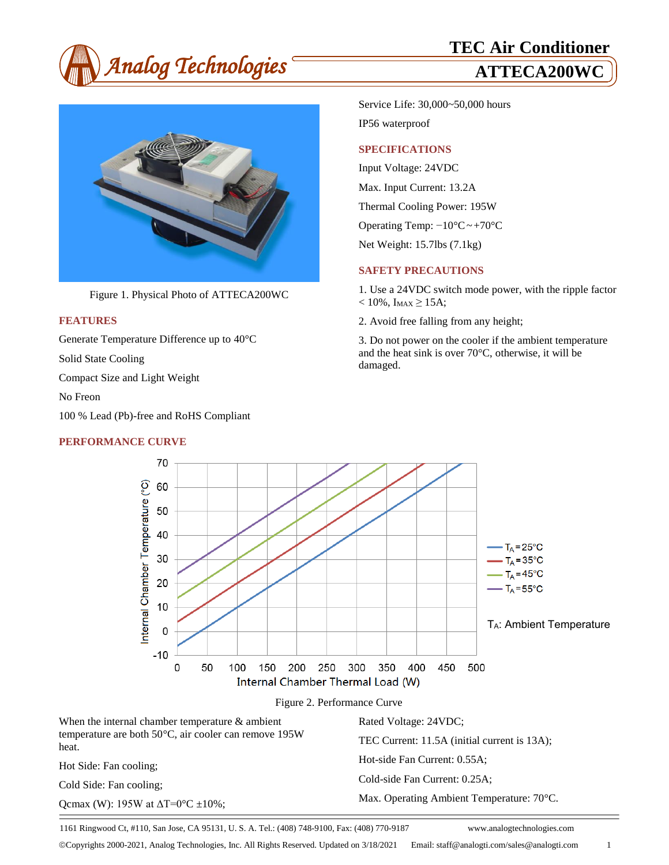



Figure 1. Physical Photo of ATTECA200WC

### **FEATURES**

Generate Temperature Difference up to 40°C

Solid State Cooling

Compact Size and Light Weight

No Freon

heat.

100 % Lead (Pb)-free and RoHS Compliant

### **PERFORMANCE CURVE**

Service Life: 30,000~50,000 hours IP56 waterproof

### **SPECIFICATIONS**

Input Voltage: 24VDC Max. Input Current: 13.2A Thermal Cooling Power: 195W Operating Temp: −10°C~+70°C Net Weight: 15.7lbs (7.1kg)

#### **SAFETY PRECAUTIONS**

1. Use a 24VDC switch mode power, with the ripple factor  $< 10\%$ , I<sub>MAX</sub> $\geq 15A$ ;

2. Avoid free falling from any height;

3. Do not power on the cooler if the ambient temperature and the heat sink is over 70  $\mathbb{C}$ , otherwise, it will be damaged.



1161 Ringwood Ct, #110, San Jose, CA 95131, U. S. A. Tel.: (408) 748-9100, Fax: (408) 770-9187 www.analogtechnologies.com

Copyrights 2000-2021, Analog Technologies, Inc. All Rights Reserved. Updated on 3/18/2021 Email: staff@analogti.com/sales@analogti.com 1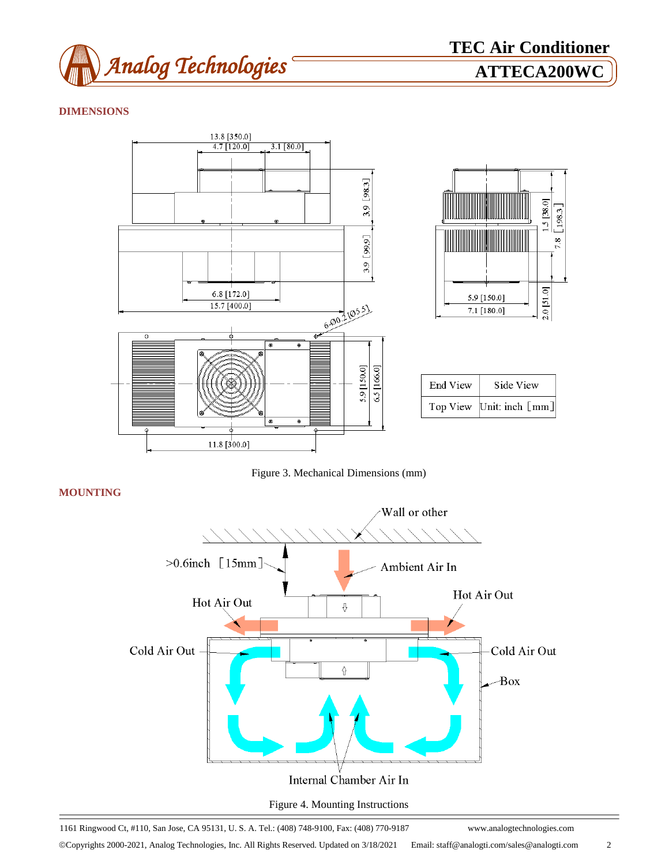

# **DIMENSIONS**



Figure 3. Mechanical Dimensions (mm)

**MOUNTING**



1161 Ringwood Ct, #110, San Jose, CA 95131, U. S. A. Tel.: (408) 748-9100, Fax: (408) 770-9187 www.analogtechnologies.com

Copyrights 2000-2021, Analog Technologies, Inc. All Rights Reserved. Updated on 3/18/2021 Email: staff@analogti.com/sales@analogti.com 2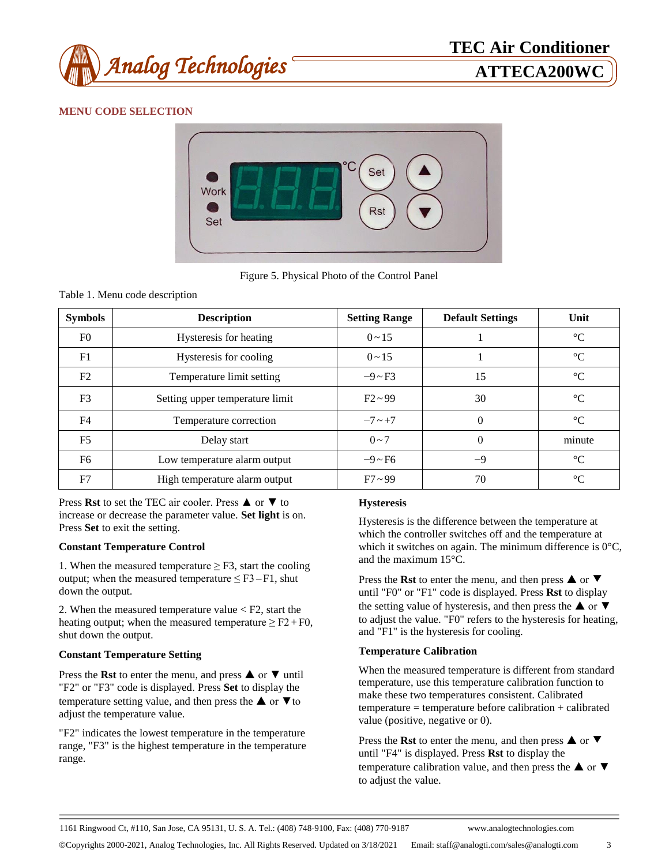

# **MENU CODE SELECTION**



Figure 5. Physical Photo of the Control Panel

#### Table 1. Menu code description

| <b>Symbols</b> | <b>Description</b>              | <b>Setting Range</b> | <b>Default Settings</b> | Unit   |
|----------------|---------------------------------|----------------------|-------------------------|--------|
| F <sub>0</sub> | Hysteresis for heating          | $0 \sim 15$          |                         | r      |
| F1             | Hysteresis for cooling          | $0 \sim 15$          |                         | r      |
| F2             | Temperature limit setting       | $-9 \sim F3$         | 15                      | r      |
| F <sub>3</sub> | Setting upper temperature limit | $F2 \sim 99$         | 30                      | C      |
| F <sub>4</sub> | Temperature correction          | $-7 \sim +7$         | $\Omega$                | C      |
| F <sub>5</sub> | Delay start                     | $0 - 7$              | $\theta$                | minute |
| F <sub>6</sub> | Low temperature alarm output    | $-9 \sim F6$         | $-9$                    | C      |
| F7             | High temperature alarm output   | $F7 \sim 99$         | 70                      | $\sim$ |

Press **Rst** to set the TEC air cooler. Press ▲ or ▼ to increase or decrease the parameter value. **Set light** is on. Press **Set** to exit the setting.

#### **Constant Temperature Control**

1. When the measured temperature  $\geq$  F3, start the cooling output; when the measured temperature  $\leq$  F3 – F1, shut down the output.

2. When the measured temperature value < F2, start the heating output; when the measured temperature  $\geq$  F2 + F0, shut down the output.

#### **Constant Temperature Setting**

Press the **Rst** to enter the menu, and press ▲ or ▼ until "F2" or "F3" code is displayed. Press **Set** to display the temperature setting value, and then press the  $\triangle$  or  $\nabla$  to adjust the temperature value.

"F2" indicates the lowest temperature in the temperature range, "F3" is the highest temperature in the temperature range.

### **Hysteresis**

Hysteresis is the difference between the temperature at which the controller switches off and the temperature at which it switches on again. The minimum difference is  $0 \, \text{C}$ , and the maximum  $15 \text{ C}$ .

Press the **Rst** to enter the menu, and then press **△** or ▼ until "F0" or "F1" code is displayed. Press **Rst** to display the setting value of hysteresis, and then press the  $\triangle$  or  $\nabla$ to adjust the value. "F0" refers to the hysteresis for heating, and "F1" is the hysteresis for cooling.

#### **Temperature Calibration**

When the measured temperature is different from standard temperature, use this temperature calibration function to make these two temperatures consistent. Calibrated temperature = temperature before calibration + calibrated value (positive, negative or 0).

Press the **Rst** to enter the menu, and then press **▲** or ▼ until "F4" is displayed. Press **Rst** to display the temperature calibration value, and then press the  $\triangle$  or  $\nabla$ to adjust the value.